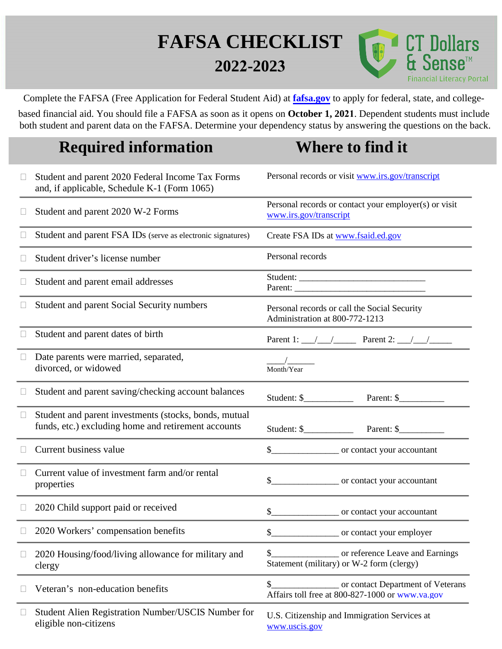## **FAFSA CHECKLIST 2022-2023**



Complete the FAFSA (Free Application for Federal Student Aid) at **[fafsa.gov](http://www.fafsa.gov/)** to apply for federal, state, and college-

based financial aid. You should file a FAFSA as soon as it opens on **October 1, 2021**. Dependent students must include both student and parent data on the FAFSA. Determine your dependency status by answering the questions on the back.

## **Required information Where to find it**

| $\Box$ | Student and parent 2020 Federal Income Tax Forms<br>and, if applicable, Schedule K-1 (Form 1065)             | Personal records or visit www.irs.gov/transcript                                           |
|--------|--------------------------------------------------------------------------------------------------------------|--------------------------------------------------------------------------------------------|
|        | Student and parent 2020 W-2 Forms                                                                            | Personal records or contact your employer(s) or visit<br>www.irs.gov/transcript            |
|        | Student and parent FSA IDs (serve as electronic signatures)                                                  | Create FSA IDs at www.fsaid.ed.gov                                                         |
|        | Student driver's license number                                                                              | Personal records                                                                           |
| $\Box$ | Student and parent email addresses                                                                           | Parent:                                                                                    |
|        | Student and parent Social Security numbers                                                                   | Personal records or call the Social Security<br>Administration at 800-772-1213             |
|        | Student and parent dates of birth                                                                            | Parent 1: $\angle$ $\angle$ $\angle$ Parent 2: $\angle$ $\angle$                           |
| $\Box$ | Date parents were married, separated,<br>divorced, or widowed                                                | Month/Year                                                                                 |
| $\Box$ | Student and parent saving/checking account balances                                                          | Student: $\frac{1}{2}$<br>Parent: $\frac{1}{2}$                                            |
| $\Box$ | Student and parent investments (stocks, bonds, mutual<br>funds, etc.) excluding home and retirement accounts |                                                                                            |
| Ш      | Current business value                                                                                       |                                                                                            |
| $\Box$ | Current value of investment farm and/or rental<br>properties                                                 | \$                                                                                         |
| $\Box$ | 2020 Child support paid or received                                                                          |                                                                                            |
|        | 2020 Workers' compensation benefits                                                                          |                                                                                            |
| $\Box$ | 2020 Housing/food/living allowance for military and<br>clergy                                                | or reference Leave and Earnings<br>\$<br>Statement (military) or W-2 form (clergy)         |
|        | Veteran's non-education benefits                                                                             | \$<br>or contact Department of Veterans<br>Affairs toll free at 800-827-1000 or www.va.gov |
| $\Box$ | Student Alien Registration Number/USCIS Number for<br>eligible non-citizens                                  | U.S. Citizenship and Immigration Services at<br>www.uscis.gov                              |